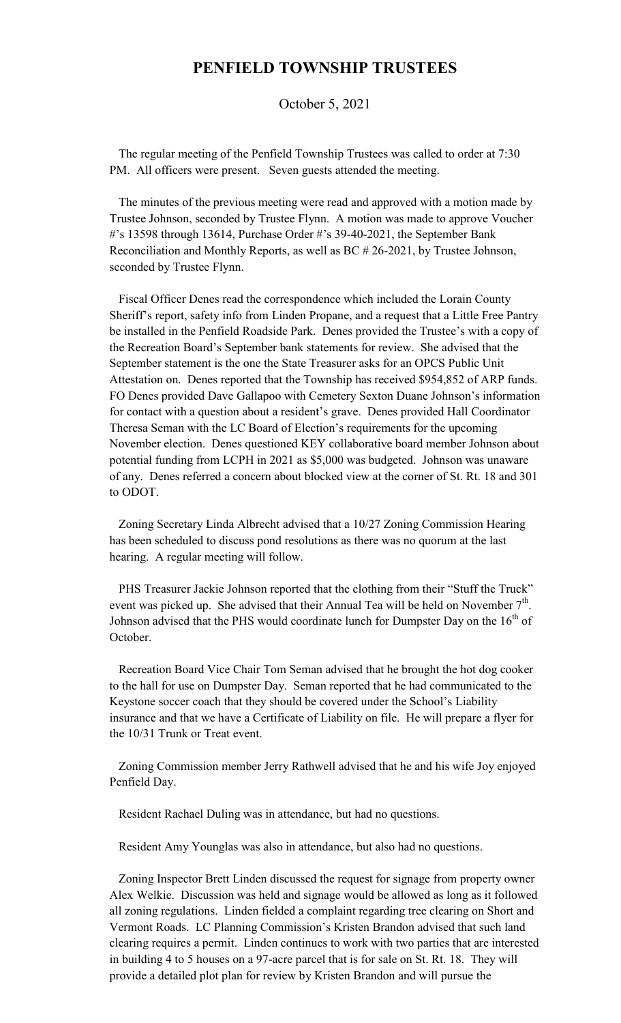## **PENFIELD TOWNSHIP TRUSTEES**

October 5, 2021

 The regular meeting of the Penfield Township Trustees was called to order at 7:30 PM. All officers were present. Seven guests attended the meeting.

 The minutes of the previous meeting were read and approved with a motion made by Trustee Johnson, seconded by Trustee Flynn. A motion was made to approve Voucher #'s 13598 through 13614, Purchase Order #'s 39-40-2021, the September Bank Reconciliation and Monthly Reports, as well as BC # 26-2021, by Trustee Johnson, seconded by Trustee Flynn.

 Fiscal Officer Denes read the correspondence which included the Lorain County Sheriff's report, safety info from Linden Propane, and a request that a Little Free Pantry be installed in the Penfield Roadside Park. Denes provided the Trustee's with a copy of the Recreation Board's September bank statements for review. She advised that the September statement is the one the State Treasurer asks for an OPCS Public Unit Attestation on. Denes reported that the Township has received \$954,852 of ARP funds. FO Denes provided Dave Gallapoo with Cemetery Sexton Duane Johnson's information for contact with a question about a resident's grave. Denes provided Hall Coordinator Theresa Seman with the LC Board of Election's requirements for the upcoming November election. Denes questioned KEY collaborative board member Johnson about potential funding from LCPH in 2021 as \$5,000 was budgeted. Johnson was unaware of any. Denes referred a concern about blocked view at the corner of St. Rt. 18 and 301 to ODOT.

 Zoning Secretary Linda Albrecht advised that a 10/27 Zoning Commission Hearing has been scheduled to discuss pond resolutions as there was no quorum at the last hearing. A regular meeting will follow.

 PHS Treasurer Jackie Johnson reported that the clothing from their "Stuff the Truck" event was picked up. She advised that their Annual Tea will be held on November  $7<sup>th</sup>$ . Johnson advised that the PHS would coordinate lunch for Dumpster Day on the  $16<sup>th</sup>$  of October.

 Recreation Board Vice Chair Tom Seman advised that he brought the hot dog cooker to the hall for use on Dumpster Day. Seman reported that he had communicated to the Keystone soccer coach that they should be covered under the School's Liability insurance and that we have a Certificate of Liability on file. He will prepare a flyer for the 10/31 Trunk or Treat event.

 Zoning Commission member Jerry Rathwell advised that he and his wife Joy enjoyed Penfield Day.

Resident Rachael Duling was in attendance, but had no questions.

Resident Amy Younglas was also in attendance, but also had no questions.

 Zoning Inspector Brett Linden discussed the request for signage from property owner Alex Welkie. Discussion was held and signage would be allowed as long as it followed all zoning regulations. Linden fielded a complaint regarding tree clearing on Short and Vermont Roads. LC Planning Commission's Kristen Brandon advised that such land clearing requires a permit. Linden continues to work with two parties that are interested in building 4 to 5 houses on a 97-acre parcel that is for sale on St. Rt. 18. They will provide a detailed plot plan for review by Kristen Brandon and will pursue the